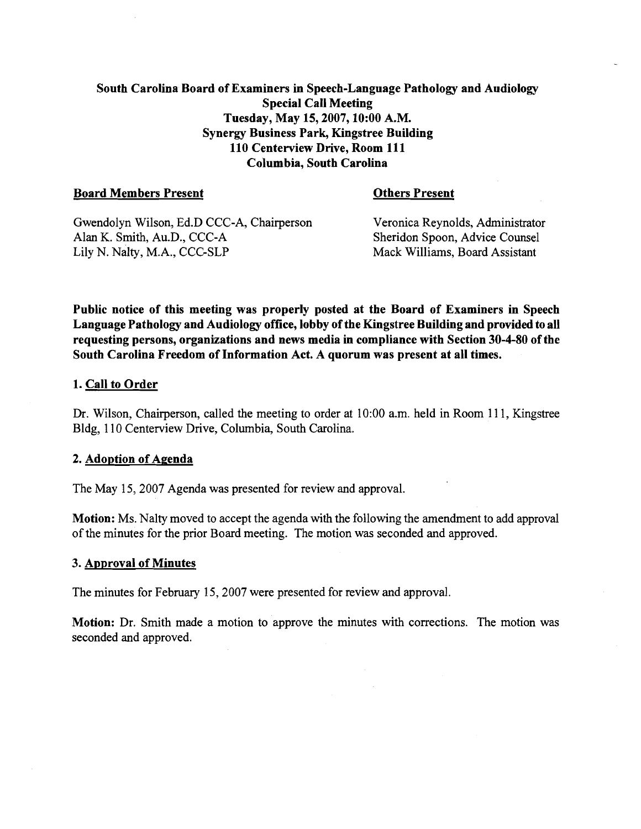# South Carolina Board of Examiners in Speech-Language Pathology and Audiology Special Call Meeting Tuesday, May 15,2007,10:00 A.M. Synergy Business Park, Kingstree Building 110 Centerview Drive, Room 111 Columbia, South Carolina

# Board Members Present Others Present

Gwendolyn Wilson, Ed.D CCC-A, Chairperson Veronica Reynolds, Administrator<br>Alan K. Smith. Au.D., CCC-A<br>Sheridon Spoon, Advice Counsel Lily N. Nalty, M.A., CCC-SLP

Sheridon Spoon, Advice Counsel<br>Mack Williams, Board Assistant

Public notice of this meeting was properly posted at the Board of Examiners in Speech Language Pathology and Audiology office, lobby of the Kingstree Building and provided to all requesting persons, organizations and news media in compliance with Section 30-4-80 of the South Carolina Freedom of Information Act. A quorum was present at all times.

# 1. Call to Order

Dr. Wilson, Chairperson, called the meeting to order at 10:00 a.m. held in Room 111, Kingstree Bldg, 1 10 Centerview Drive, Columbia, South Carolina.

## 2. Adoption of Agenda

The May 15,2007 Agenda was presented for review and approval.

Motion: Ms. Nalty moved to accept the agenda with the following the amendment to add approval of the minutes for the prior Board meeting. The motion was seconded and approved.

## 3. Approval of Minutes

The minutes for February 15,2007 were presented for review and approval.

Motion: Dr. Smith made a motion to approve the minutes with corrections. The motion was seconded and approved.